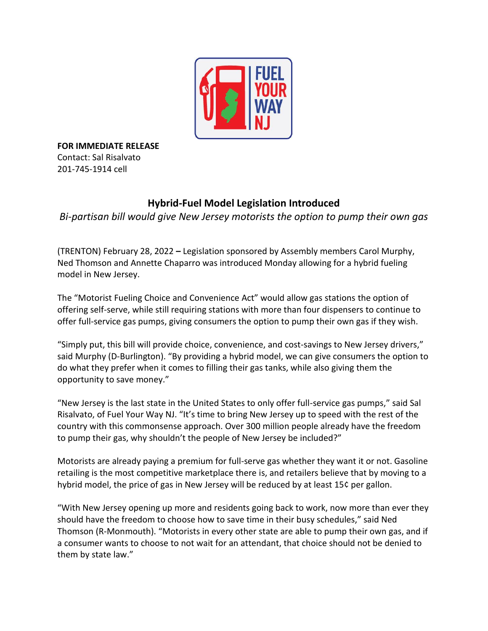

**FOR IMMEDIATE RELEASE** Contact: Sal Risalvato 201-745-1914 cell

## **Hybrid-Fuel Model Legislation Introduced**

*Bi-partisan bill would give New Jersey motorists the option to pump their own gas*

(TRENTON) February 28, 2022 **–** Legislation sponsored by Assembly members Carol Murphy, Ned Thomson and Annette Chaparro was introduced Monday allowing for a hybrid fueling model in New Jersey.

The "Motorist Fueling Choice and Convenience Act" would allow gas stations the option of offering self-serve, while still requiring stations with more than four dispensers to continue to offer full-service gas pumps, giving consumers the option to pump their own gas if they wish.

"Simply put, this bill will provide choice, convenience, and cost-savings to New Jersey drivers," said Murphy (D-Burlington). "By providing a hybrid model, we can give consumers the option to do what they prefer when it comes to filling their gas tanks, while also giving them the opportunity to save money."

"New Jersey is the last state in the United States to only offer full-service gas pumps," said Sal Risalvato, of Fuel Your Way NJ. "It's time to bring New Jersey up to speed with the rest of the country with this commonsense approach. Over 300 million people already have the freedom to pump their gas, why shouldn't the people of New Jersey be included?"

Motorists are already paying a premium for full-serve gas whether they want it or not. Gasoline retailing is the most competitive marketplace there is, and retailers believe that by moving to a hybrid model, the price of gas in New Jersey will be reduced by at least 15¢ per gallon.

"With New Jersey opening up more and residents going back to work, now more than ever they should have the freedom to choose how to save time in their busy schedules," said Ned Thomson (R-Monmouth). "Motorists in every other state are able to pump their own gas, and if a consumer wants to choose to not wait for an attendant, that choice should not be denied to them by state law."